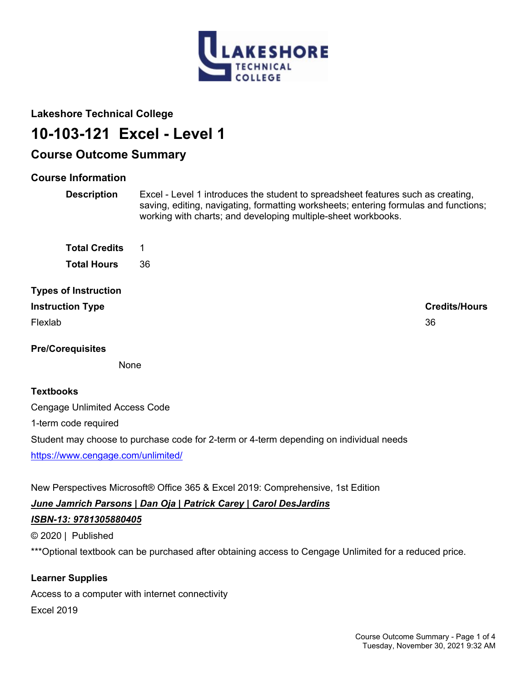

## **Lakeshore Technical College**

# **10-103-121 Excel - Level 1**

# **Course Outcome Summary**

## **Course Information**

**Description** Excel - Level 1 introduces the student to spreadsheet features such as creating, saving, editing, navigating, formatting worksheets; entering formulas and functions; working with charts; and developing multiple-sheet workbooks.

**Total Credits** 1 **Total Hours** 36

# **Types of Instruction**

Flexlab 36

**Instruction Type Credits/Hours**

## **Pre/Corequisites**

None

## **Textbooks**

Cengage Unlimited Access Code 1-term code required Student may choose to purchase code for 2-term or 4-term depending on individual needs <https://www.cengage.com/unlimited/>

New Perspectives Microsoft® Office 365 & Excel 2019: Comprehensive, 1st Edition

# *June Jamrich Parsons | Dan Oja | Patrick Carey | Carol DesJardins*

# *ISBN-13: 9781305880405*

© 2020 | Published

\*\*\*Optional textbook can be purchased after obtaining access to Cengage Unlimited for a reduced price.

# **Learner Supplies**

Access to a computer with internet connectivity Excel 2019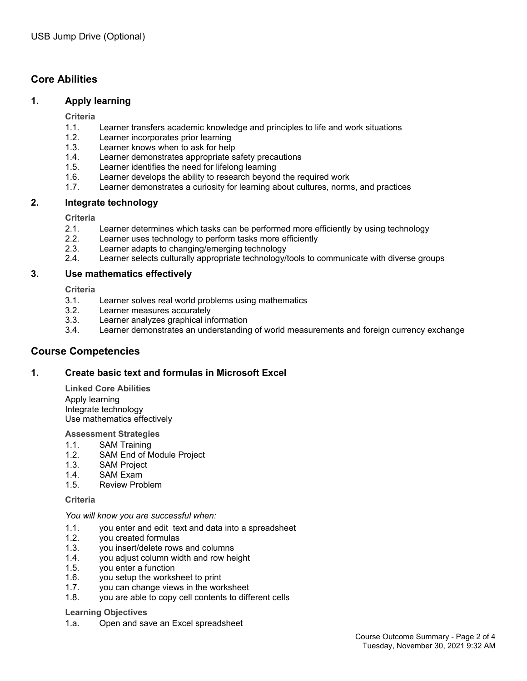## **Core Abilities**

#### **1. Apply learning**

**Criteria**

- 1.1. Learner transfers academic knowledge and principles to life and work situations
- 1.2. Learner incorporates prior learning
- 1.3. Learner knows when to ask for help
- 1.4. Learner demonstrates appropriate safety precautions
- 1.5. Learner identifies the need for lifelong learning
- 1.6. Learner develops the ability to research beyond the required work
- 1.7. Learner demonstrates a curiosity for learning about cultures, norms, and practices

#### **2. Integrate technology**

**Criteria**

- 2.1. Learner determines which tasks can be performed more efficiently by using technology
- 2.2. Learner uses technology to perform tasks more efficiently
- 2.3. Learner adapts to changing/emerging technology
- 2.4. Learner selects culturally appropriate technology/tools to communicate with diverse groups

#### **3. Use mathematics effectively**

**Criteria**

- 3.1. Learner solves real world problems using mathematics
- 3.2. Learner measures accurately
- 3.3. Learner analyzes graphical information
- 3.4. Learner demonstrates an understanding of world measurements and foreign currency exchange

### **Course Competencies**

#### **1. Create basic text and formulas in Microsoft Excel**

**Linked Core Abilities** Apply learning Integrate technology Use mathematics effectively

#### **Assessment Strategies**

- 1.1. SAM Training
- 1.2. SAM End of Module Project
- 1.3. SAM Project
- 1.4. SAM Exam
- 1.5. Review Problem

#### **Criteria**

*You will know you are successful when:*

- 1.1. you enter and edit text and data into a spreadsheet
- 1.2. you created formulas
- 1.3. you insert/delete rows and columns
- 1.4. you adjust column width and row height
- 1.5. you enter a function
- 1.6. you setup the worksheet to print
- 1.7. you can change views in the worksheet
- 1.8. you are able to copy cell contents to different cells

#### **Learning Objectives**

1.a. Open and save an Excel spreadsheet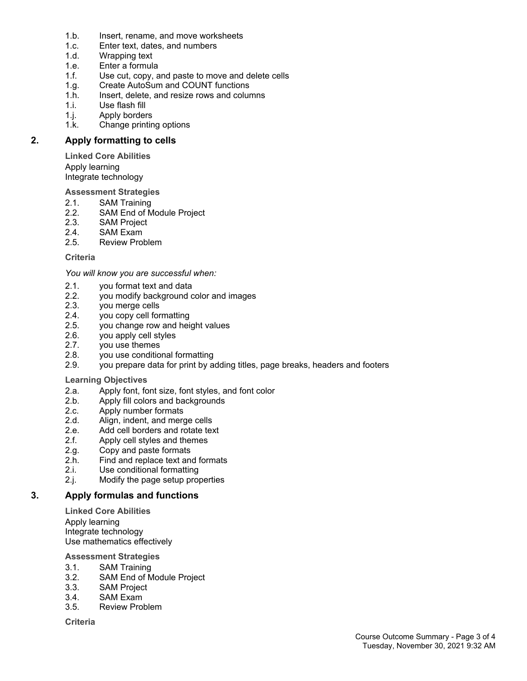- 1.b. Insert, rename, and move worksheets
- 1.c. Enter text, dates, and numbers
- 1.d. Wrapping text
- 1.e. Enter a formula
- 1.f. Use cut, copy, and paste to move and delete cells
- 1.g. Create AutoSum and COUNT functions
- 1.h. Insert, delete, and resize rows and columns
- 1.i. Use flash fill
- 1.j. Apply borders
- 1.k. Change printing options

#### **2. Apply formatting to cells**

**Linked Core Abilities** Apply learning Integrate technology

**Assessment Strategies**

- 2.1. SAM Training<br>2.2. SAM End of M
- SAM End of Module Project
- 2.3. SAM Project
- 2.4. SAM Exam<br>2.5. Review Pro
- Review Problem

#### **Criteria**

*You will know you are successful when:*

- 2.1. you format text and data
- 2.2. you modify background color and images
- 2.3. you merge cells
- 2.4. you copy cell formatting
- 2.5. you change row and height values
- 2.6. you apply cell styles
- 2.7. you use themes
- 2.8. you use conditional formatting
- 2.9. you prepare data for print by adding titles, page breaks, headers and footers

#### **Learning Objectives**

- 2.a. Apply font, font size, font styles, and font color
- 2.b. Apply fill colors and backgrounds
- 2.c. Apply number formats
- 
- 2.d. Align, indent, and merge cells<br>2.e. Add cell borders and rotate tex 2.e. Add cell borders and rotate text<br>2.f. Apply cell styles and themes
- Apply cell styles and themes
- 2.g. Copy and paste formats<br>2.h. Find and replace text an
- Find and replace text and formats
- 2.i. Use conditional formatting
- 2.j. Modify the page setup properties

#### **3. Apply formulas and functions**

**Linked Core Abilities** Apply learning Integrate technology Use mathematics effectively

#### **Assessment Strategies**

- 3.1. SAM Training
- 3.2. SAM End of Module Project
- 3.3. SAM Project
- 3.4. SAM Exam
- 3.5. Review Problem

#### **Criteria**